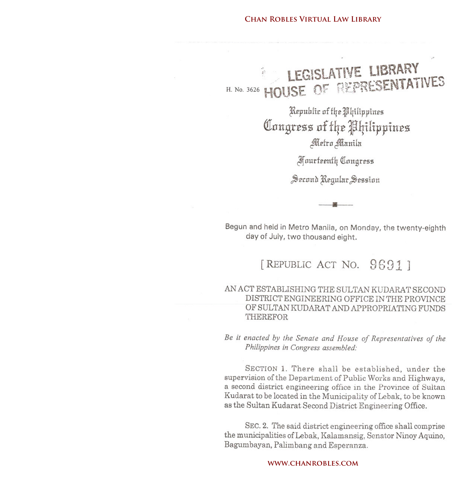### **CHAN ROBLES VIRTUAL LAW LIBRARY**

# LEGISLATIVE LIBRARY H. No. 3626 HOUSE OF REPRESENTATIVES

Republic of the Philippines Congress of the Philippines Metro Manila

**Fourteenth Congress** 

Second Regular Session

Begun and held in Metro Manila, on Monday, the twenty-eighth day of July, two thousand eight.

## REPUBLIC ACT NO. 96911

## AN ACT ESTABLISHING THE SULTAN KUDARAT SECOND DISTRICT ENGINEERING OFFICE IN THE PROVINCE OF SULTAN KUDARAT AND APPROPRIATING FUNDS THEREFOR

Be it enacted by the Senate and House of Representatives of the Philippines in Congress assembled:

SECTION 1. There shall be established, under the supervision of the Department of Public Works and Highways, a second district engineering office in the Province of Sultan Kudarat to be located in the Municipality of Lebak, to be known as the Sultan Kudarat Second District Engineering Office.

SEC. 2. The said district engineering office shall comprise the municipalities of Lebak, Kalamansig, Senator Ninov Aquino, Bagumbayan, Palimbang and Esperanza.

#### WWW.CHANROBLES.COM